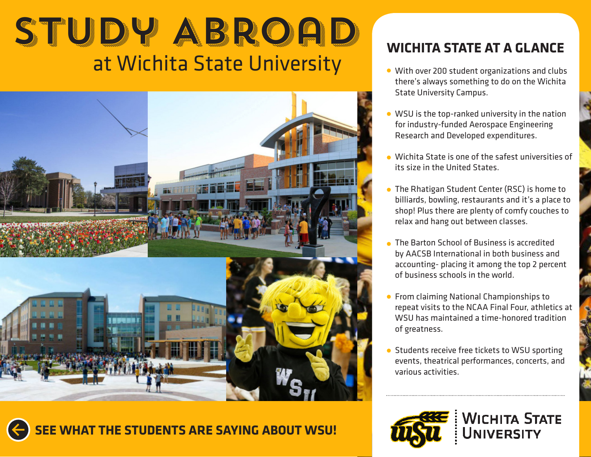## STUDY ABROAD at Wichita State University with over 200 student organizations and clubs



## **WHAT THE STUDENTS ARE SAYING ABOUT WSU!**

## **WICHITA STATE AT A GLANCE**

- there's always something to do on the Wichita State University Campus.
- WSU is the top-ranked university in the nation for industry-funded Aerospace Engineering Research and Developed expenditures.
- Wichita State is one of the safest universities of its size in the United States.
- The Rhatigan Student Center (RSC) is home to billiards, bowling, restaurants and it's a place to shop! Plus there are plenty of comfy couches to relax and hang out between classes.
- **The Barton School of Business is accredited** by AACSB International in both business and accounting- placing it among the top 2 percent of business schools in the world.
- **From claiming National Championships to** repeat visits to the NCAA Final Four, athletics at WSU has maintained a time-honored tradition of greatness.
- **Students receive free tickets to WSU sporting** events, theatrical performances, concerts, and various activities.



**WICHITA STATE NIVERSITY**